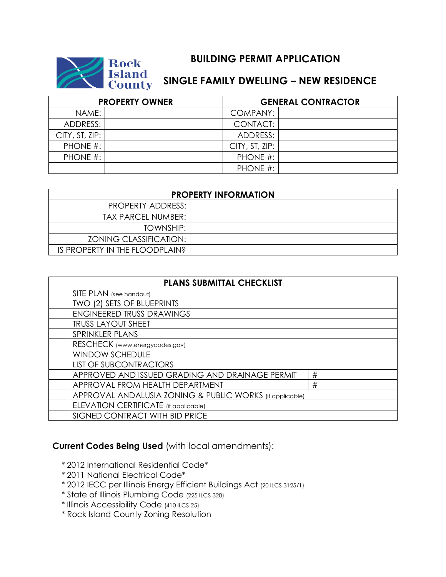

## **Rock BUILDING PERMIT APPLICATION<br>
ISland<br>
County SINGLE FAMILY DWELLING – NEW RESI SINGLE FAMILY DWELLING - NEW RESIDENCE**

| <b>PROPERTY OWNER</b> |  | <b>GENERAL CONTRACTOR</b> |  |
|-----------------------|--|---------------------------|--|
| NAME:                 |  | COMPANY:                  |  |
| ADDRESS:              |  | CONTACT:                  |  |
| CITY, ST, ZIP:        |  | ADDRESS:                  |  |
| PHONE #:              |  | CITY, ST, ZIP:            |  |
| PHONE #:              |  | PHONE #:                  |  |
|                       |  | PHONE #:                  |  |

| <b>PROPERTY INFORMATION</b>    |  |  |  |  |
|--------------------------------|--|--|--|--|
| PROPERTY ADDRESS:              |  |  |  |  |
| TAX PARCEL NUMBER:             |  |  |  |  |
| TOWNSHIP:                      |  |  |  |  |
| <b>ZONING CLASSIFICATION:</b>  |  |  |  |  |
| IS PROPERTY IN THE FLOODPLAIN? |  |  |  |  |

| <b>PLANS SUBMITTAL CHECKLIST</b>                         |   |  |  |  |
|----------------------------------------------------------|---|--|--|--|
| SITE PLAN (see handout)                                  |   |  |  |  |
| TWO (2) SETS OF BLUEPRINTS                               |   |  |  |  |
| <b>ENGINEERED TRUSS DRAWINGS</b>                         |   |  |  |  |
| <b>TRUSS LAYOUT SHEET</b>                                |   |  |  |  |
| SPRINKLER PLANS                                          |   |  |  |  |
| RESCHECK (www.energycodes.gov)                           |   |  |  |  |
| <b>WINDOW SCHEDULE</b>                                   |   |  |  |  |
| <b>LIST OF SUBCONTRACTORS</b>                            |   |  |  |  |
| APPROVED AND ISSUED GRADING AND DRAINAGE PERMIT          | # |  |  |  |
| APPROVAL FROM HEALTH DEPARTMENT                          | # |  |  |  |
| APPROVAL ANDALUSIA ZONING & PUBLIC WORKS (if applicable) |   |  |  |  |
| ELEVATION CERTIFICATE (if applicable)                    |   |  |  |  |
| SIGNED CONTRACT WITH BID PRICE                           |   |  |  |  |

## **Current Codes Being Used** (with local amendments):

- \* 2012 International Residential Code\*
- \* 2011 National Electrical Code\*
- \* 2012 IECC per Illinois Energy Efficient Buildings Act (20 ILCS 3125/1)
- \* State of Illinois Plumbing Code (225 ILCS 320)
- \* Illinois Accessibility Code (410 ILCS 25)
- \* Rock Island County Zoning Resolution